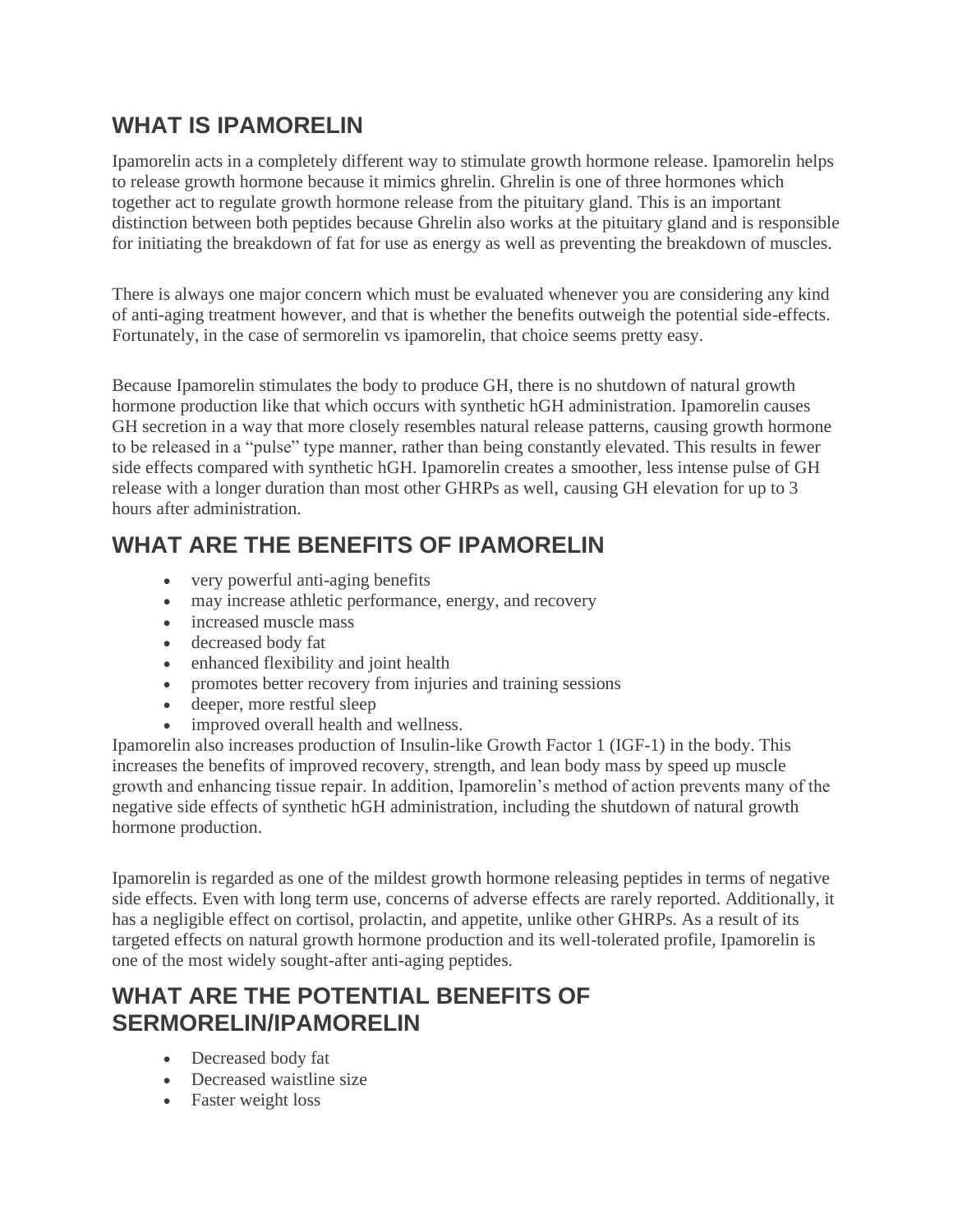#### **WHAT IS IPAMORELIN**

Ipamorelin acts in a completely different way to stimulate growth hormone release. Ipamorelin helps to release growth hormone because it mimics ghrelin. Ghrelin is one of three hormones which together act to regulate growth hormone release from the pituitary gland. This is an important distinction between both peptides because Ghrelin also works at the pituitary gland and is responsible for initiating the breakdown of fat for use as energy as well as preventing the breakdown of muscles.

There is always one major concern which must be evaluated whenever you are considering any kind of anti-aging treatment however, and that is whether the benefits outweigh the potential side-effects. Fortunately, in the case of sermorelin vs ipamorelin, that choice seems pretty easy.

Because Ipamorelin stimulates the body to produce GH, there is no shutdown of natural growth hormone production like that which occurs with synthetic hGH administration. Ipamorelin causes GH secretion in a way that more closely resembles natural release patterns, causing growth hormone to be released in a "pulse" type manner, rather than being constantly elevated. This results in fewer side effects compared with synthetic hGH. Ipamorelin creates a smoother, less intense pulse of GH release with a longer duration than most other GHRPs as well, causing GH elevation for up to 3 hours after administration.

### **WHAT ARE THE BENEFITS OF IPAMORELIN**

- very powerful anti-aging benefits
- may increase athletic performance, energy, and recovery
- increased muscle mass
- decreased body fat
- enhanced flexibility and joint health
- promotes better recovery from injuries and training sessions
- deeper, more restful sleep
- improved overall health and wellness.

Ipamorelin also increases production of Insulin-like Growth Factor 1 (IGF-1) in the body. This increases the benefits of improved recovery, strength, and lean body mass by speed up muscle growth and enhancing tissue repair. In addition, Ipamorelin's method of action prevents many of the negative side effects of synthetic hGH administration, including the shutdown of natural growth hormone production.

Ipamorelin is regarded as one of the mildest growth hormone releasing peptides in terms of negative side effects. Even with long term use, concerns of adverse effects are rarely reported. Additionally, it has a negligible effect on cortisol, prolactin, and appetite, unlike other GHRPs. As a result of its targeted effects on natural growth hormone production and its well-tolerated profile, Ipamorelin is one of the most widely sought-after anti-aging peptides.

#### **WHAT ARE THE POTENTIAL BENEFITS OF SERMORELIN/IPAMORELIN**

- Decreased body fat
- Decreased waistline size
- Faster weight loss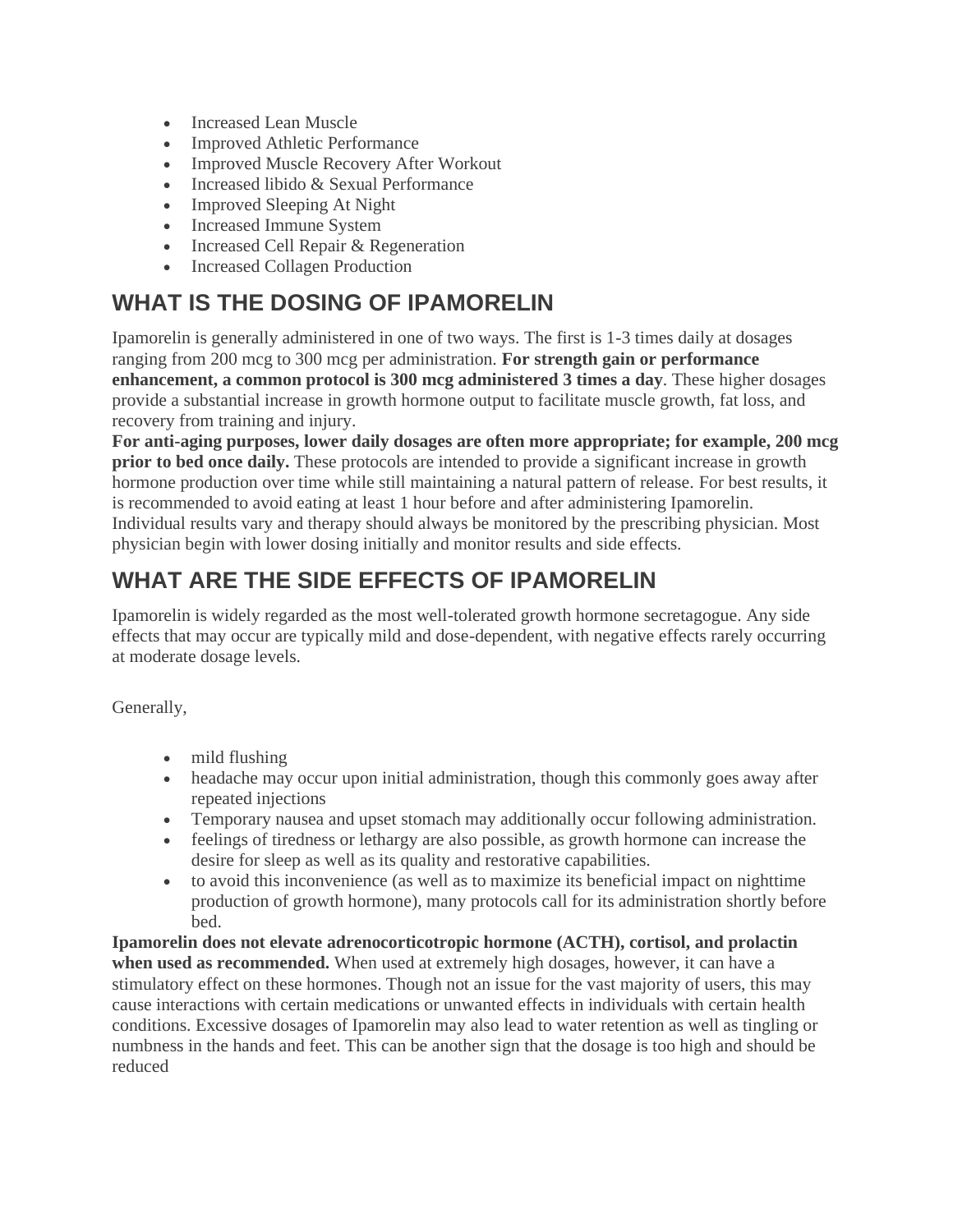- Increased Lean Muscle
- **Improved Athletic Performance**
- Improved Muscle Recovery After Workout
- Increased libido & Sexual Performance
- Improved Sleeping At Night
- Increased Immune System
- Increased Cell Repair & Regeneration
- Increased Collagen Production

#### **WHAT IS THE DOSING OF IPAMORELIN**

Ipamorelin is generally administered in one of two ways. The first is 1-3 times daily at dosages ranging from 200 mcg to 300 mcg per administration. **For strength gain or performance enhancement, a common protocol is 300 mcg administered 3 times a day**. These higher dosages provide a substantial increase in growth hormone output to facilitate muscle growth, fat loss, and recovery from training and injury.

**For anti-aging purposes, lower daily dosages are often more appropriate; for example, 200 mcg prior to bed once daily.** These protocols are intended to provide a significant increase in growth hormone production over time while still maintaining a natural pattern of release. For best results, it is recommended to avoid eating at least 1 hour before and after administering Ipamorelin. Individual results vary and therapy should always be monitored by the prescribing physician. Most physician begin with lower dosing initially and monitor results and side effects.

### **WHAT ARE THE SIDE EFFECTS OF IPAMORELIN**

Ipamorelin is widely regarded as the most well-tolerated growth hormone secretagogue. Any side effects that may occur are typically mild and dose-dependent, with negative effects rarely occurring at moderate dosage levels.

Generally,

- mild flushing
- headache may occur upon initial administration, though this commonly goes away after repeated injections
- Temporary nausea and upset stomach may additionally occur following administration.
- feelings of tiredness or lethargy are also possible, as growth hormone can increase the desire for sleep as well as its quality and restorative capabilities.
- to avoid this inconvenience (as well as to maximize its beneficial impact on nighttime production of growth hormone), many protocols call for its administration shortly before bed.

**Ipamorelin does not elevate adrenocorticotropic hormone (ACTH), cortisol, and prolactin when used as recommended.** When used at extremely high dosages, however, it can have a stimulatory effect on these hormones. Though not an issue for the vast majority of users, this may cause interactions with certain medications or unwanted effects in individuals with certain health conditions. Excessive dosages of Ipamorelin may also lead to water retention as well as tingling or numbness in the hands and feet. This can be another sign that the dosage is too high and should be reduced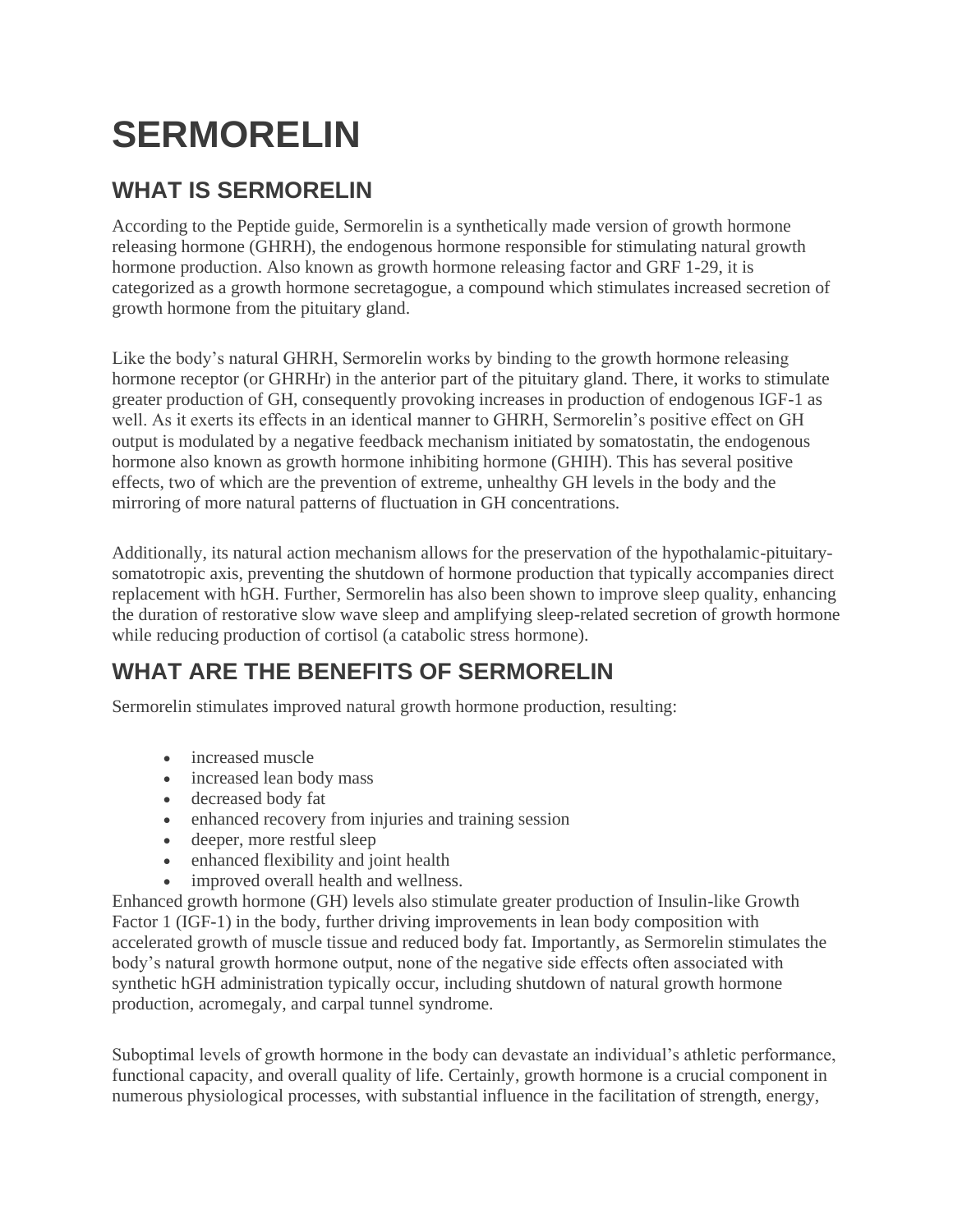# **SERMORELIN**

### **WHAT IS SERMORELIN**

According to the Peptide guide, Sermorelin is a synthetically made version of growth hormone releasing hormone (GHRH), the endogenous hormone responsible for stimulating natural growth hormone production. Also known as growth hormone releasing factor and GRF 1-29, it is categorized as a growth hormone secretagogue, a compound which stimulates increased secretion of growth hormone from the pituitary gland.

Like the body's natural GHRH, Sermorelin works by binding to the growth hormone releasing hormone receptor (or GHRHr) in the anterior part of the pituitary gland. There, it works to stimulate greater production of GH, consequently provoking increases in production of endogenous IGF-1 as well. As it exerts its effects in an identical manner to GHRH, Sermorelin's positive effect on GH output is modulated by a negative feedback mechanism initiated by somatostatin, the endogenous hormone also known as growth hormone inhibiting hormone (GHIH). This has several positive effects, two of which are the prevention of extreme, unhealthy GH levels in the body and the mirroring of more natural patterns of fluctuation in GH concentrations.

Additionally, its natural action mechanism allows for the preservation of the hypothalamic-pituitarysomatotropic axis, preventing the shutdown of hormone production that typically accompanies direct replacement with hGH. Further, Sermorelin has also been shown to improve sleep quality, enhancing the duration of restorative slow wave sleep and amplifying sleep-related secretion of growth hormone while reducing production of cortisol (a catabolic stress hormone).

#### **WHAT ARE THE BENEFITS OF SERMORELIN**

Sermorelin stimulates improved natural growth hormone production, resulting:

- increased muscle
- increased lean body mass
- decreased body fat
- enhanced recovery from injuries and training session
- deeper, more restful sleep
- enhanced flexibility and joint health
- improved overall health and wellness.

Enhanced growth hormone (GH) levels also stimulate greater production of Insulin-like Growth Factor 1 (IGF-1) in the body, further driving improvements in lean body composition with accelerated growth of muscle tissue and reduced body fat. Importantly, as Sermorelin stimulates the body's natural growth hormone output, none of the negative side effects often associated with synthetic hGH administration typically occur, including shutdown of natural growth hormone production, acromegaly, and carpal tunnel syndrome.

Suboptimal levels of growth hormone in the body can devastate an individual's athletic performance, functional capacity, and overall quality of life. Certainly, growth hormone is a crucial component in numerous physiological processes, with substantial influence in the facilitation of strength, energy,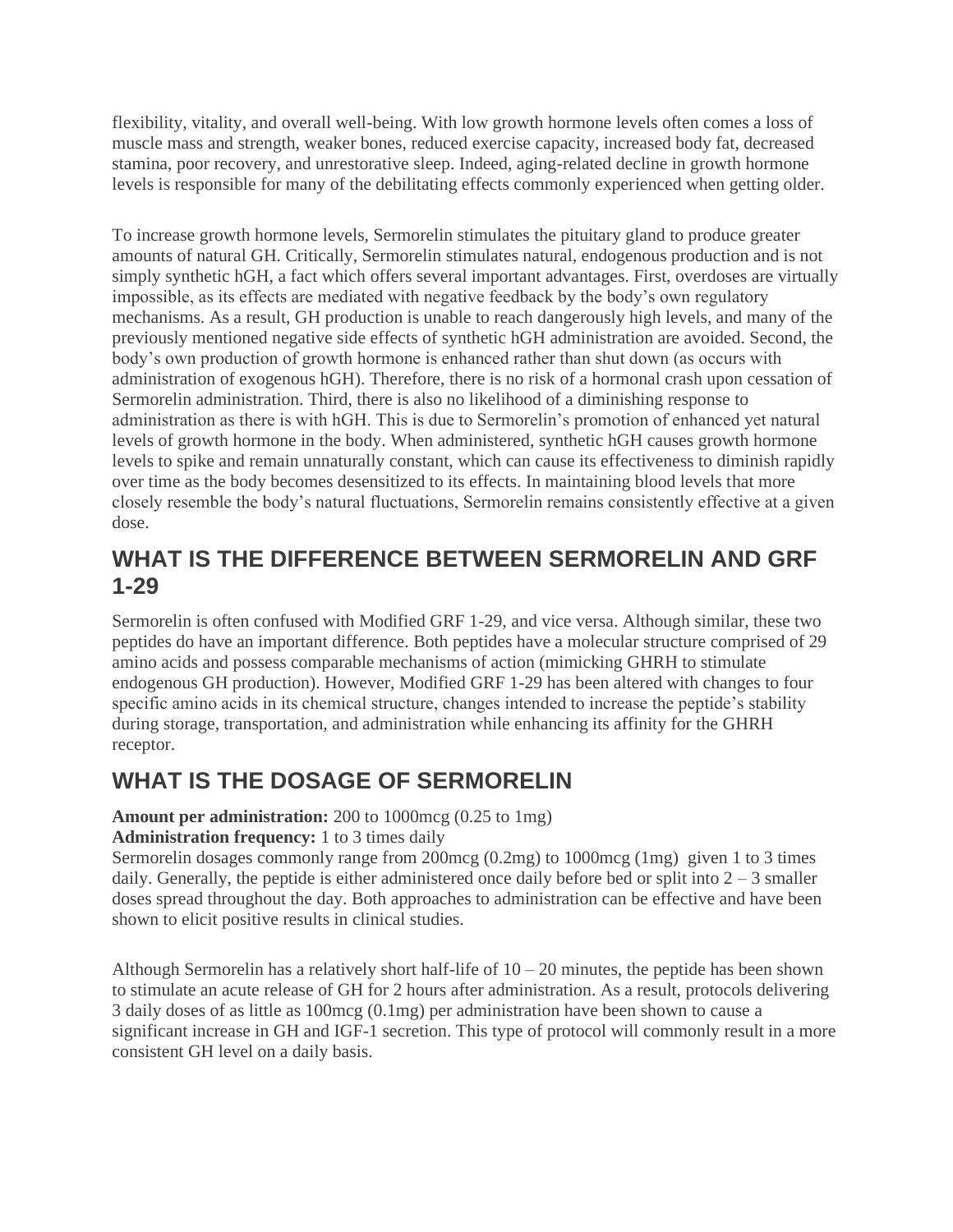flexibility, vitality, and overall well-being. With low growth hormone levels often comes a loss of muscle mass and strength, weaker bones, reduced exercise capacity, increased body fat, decreased stamina, poor recovery, and unrestorative sleep. Indeed, aging-related decline in growth hormone levels is responsible for many of the debilitating effects commonly experienced when getting older.

To increase growth hormone levels, Sermorelin stimulates the pituitary gland to produce greater amounts of natural GH. Critically, Sermorelin stimulates natural, endogenous production and is not simply synthetic hGH, a fact which offers several important advantages. First, overdoses are virtually impossible, as its effects are mediated with negative feedback by the body's own regulatory mechanisms. As a result, GH production is unable to reach dangerously high levels, and many of the previously mentioned negative side effects of synthetic hGH administration are avoided. Second, the body's own production of growth hormone is enhanced rather than shut down (as occurs with administration of exogenous hGH). Therefore, there is no risk of a hormonal crash upon cessation of Sermorelin administration. Third, there is also no likelihood of a diminishing response to administration as there is with hGH. This is due to Sermorelin's promotion of enhanced yet natural levels of growth hormone in the body. When administered, synthetic hGH causes growth hormone levels to spike and remain unnaturally constant, which can cause its effectiveness to diminish rapidly over time as the body becomes desensitized to its effects. In maintaining blood levels that more closely resemble the body's natural fluctuations, Sermorelin remains consistently effective at a given dose.

#### **WHAT IS THE DIFFERENCE BETWEEN SERMORELIN AND GRF 1-29**

Sermorelin is often confused with Modified GRF 1-29, and vice versa. Although similar, these two peptides do have an important difference. Both peptides have a molecular structure comprised of 29 amino acids and possess comparable mechanisms of action (mimicking GHRH to stimulate endogenous GH production). However, Modified GRF 1-29 has been altered with changes to four specific amino acids in its chemical structure, changes intended to increase the peptide's stability during storage, transportation, and administration while enhancing its affinity for the GHRH receptor.

### **WHAT IS THE DOSAGE OF SERMORELIN**

#### **Amount per administration:** 200 to 1000mcg (0.25 to 1mg) **Administration frequency:** 1 to 3 times daily

Sermorelin dosages commonly range from 200mcg (0.2mg) to 1000mcg (1mg) given 1 to 3 times daily. Generally, the peptide is either administered once daily before bed or split into  $2 - 3$  smaller doses spread throughout the day. Both approaches to administration can be effective and have been shown to elicit positive results in clinical studies.

Although Sermorelin has a relatively short half-life of  $10 - 20$  minutes, the peptide has been shown to stimulate an acute release of GH for 2 hours after administration. As a result, protocols delivering 3 daily doses of as little as 100mcg (0.1mg) per administration have been shown to cause a significant increase in GH and IGF-1 secretion. This type of protocol will commonly result in a more consistent GH level on a daily basis.